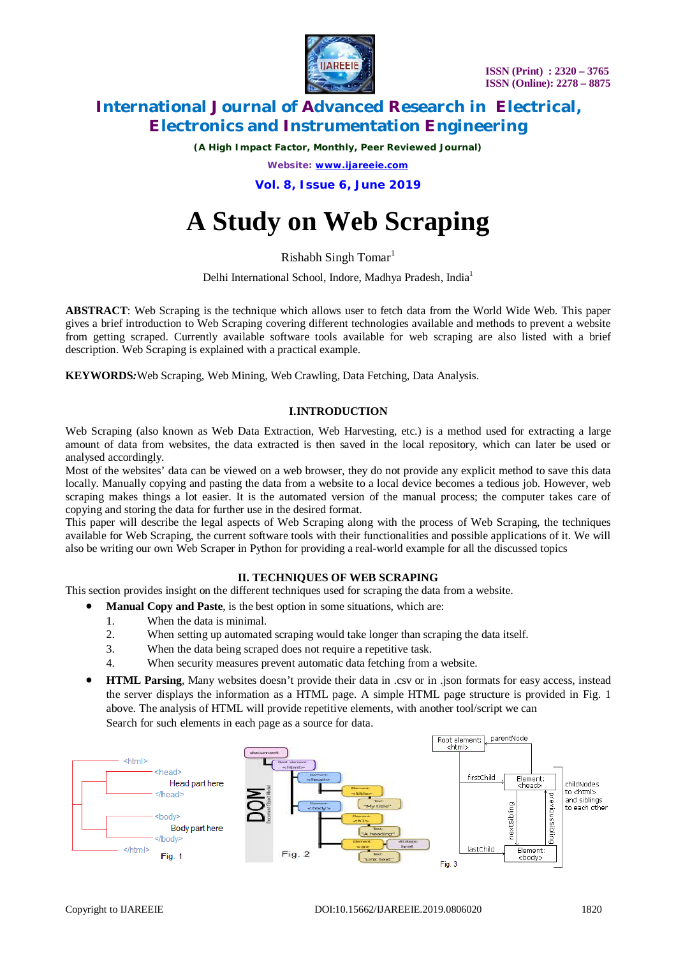

*(A High Impact Factor, Monthly, Peer Reviewed Journal)*

*Website: [www.ijareeie.com](http://www.ijareeie.com)*

**Vol. 8, Issue 6, June 2019**

# **A Study on Web Scraping**

Rishabh Singh Tomar<sup>1</sup>

Delhi International School, Indore, Madhya Pradesh, India<sup>1</sup>

**ABSTRACT**: Web Scraping is the technique which allows user to fetch data from the World Wide Web. This paper gives a brief introduction to Web Scraping covering different technologies available and methods to prevent a website from getting scraped. Currently available software tools available for web scraping are also listed with a brief description. Web Scraping is explained with a practical example.

**KEYWORDS***:*Web Scraping, Web Mining, Web Crawling, Data Fetching, Data Analysis.

### **I.INTRODUCTION**

Web Scraping (also known as Web Data Extraction, Web Harvesting, etc.) is a method used for extracting a large amount of data from websites, the data extracted is then saved in the local repository, which can later be used or analysed accordingly.

Most of the websites' data can be viewed on a web browser, they do not provide any explicit method to save this data locally. Manually copying and pasting the data from a website to a local device becomes a tedious job. However, web scraping makes things a lot easier. It is the automated version of the manual process; the computer takes care of copying and storing the data for further use in the desired format.

This paper will describe the legal aspects of Web Scraping along with the process of Web Scraping, the techniques available for Web Scraping, the current software tools with their functionalities and possible applications of it. We will also be writing our own Web Scraper in Python for providing a real-world example for all the discussed topics

# **II. TECHNIQUES OF WEB SCRAPING**

This section provides insight on the different techniques used for scraping the data from a website.

- **Manual Copy and Paste**, is the best option in some situations, which are:
	- 1. When the data is minimal.
	- 2. When setting up automated scraping would take longer than scraping the data itself.
	- 3. When the data being scraped does not require a repetitive task.
	- 4. When security measures prevent automatic data fetching from a website.
- **HTML Parsing**, Many websites doesn't provide their data in .csv or in .json formats for easy access, instead the server displays the information as a HTML page. A simple HTML page structure is provided in Fig. 1 above. The analysis of HTML will provide repetitive elements, with another tool/script we can Search for such elements in each page as a source for data.

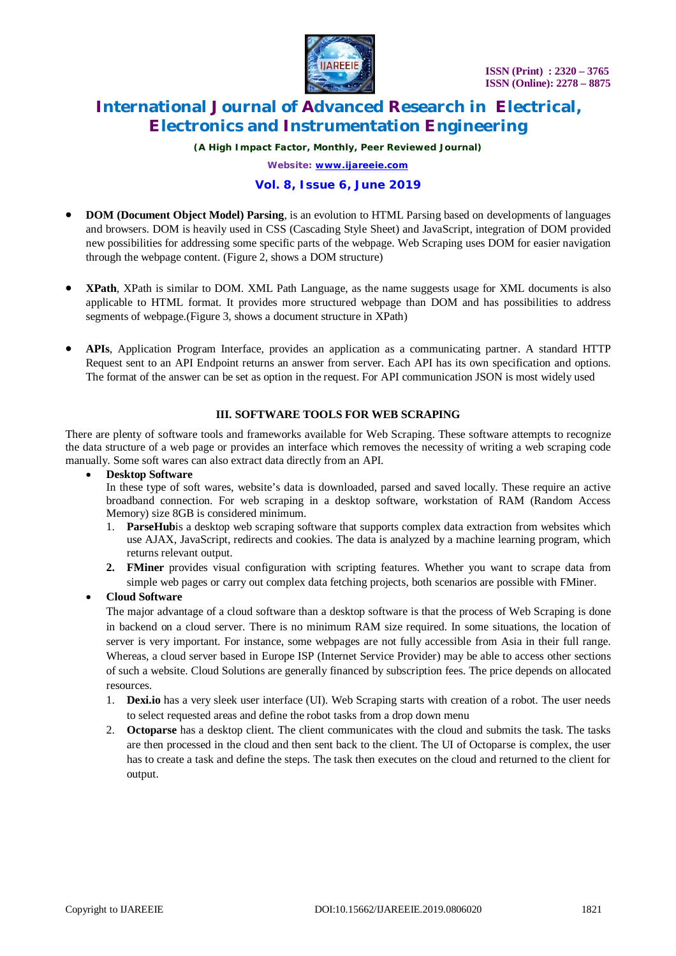

*(A High Impact Factor, Monthly, Peer Reviewed Journal)*

*Website: [www.ijareeie.com](http://www.ijareeie.com)*

# **Vol. 8, Issue 6, June 2019**

- **DOM (Document Object Model) Parsing**, is an evolution to HTML Parsing based on developments of languages and browsers. DOM is heavily used in CSS (Cascading Style Sheet) and JavaScript, integration of DOM provided new possibilities for addressing some specific parts of the webpage. Web Scraping uses DOM for easier navigation through the webpage content. (Figure 2, shows a DOM structure)
- **XPath**, XPath is similar to DOM. XML Path Language, as the name suggests usage for XML documents is also applicable to HTML format. It provides more structured webpage than DOM and has possibilities to address segments of webpage.(Figure 3, shows a document structure in XPath)
- **APIs**, Application Program Interface, provides an application as a communicating partner. A standard HTTP Request sent to an API Endpoint returns an answer from server. Each API has its own specification and options. The format of the answer can be set as option in the request. For API communication JSON is most widely used

### **III. SOFTWARE TOOLS FOR WEB SCRAPING**

There are plenty of software tools and frameworks available for Web Scraping. These software attempts to recognize the data structure of a web page or provides an interface which removes the necessity of writing a web scraping code manually. Some soft wares can also extract data directly from an API.

#### **Desktop Software**

In these type of soft wares, website's data is downloaded, parsed and saved locally. These require an active broadband connection. For web scraping in a desktop software, workstation of RAM (Random Access Memory) size 8GB is considered minimum.

- 1. **ParseHub**is a desktop web scraping software that supports complex data extraction from websites which use AJAX, JavaScript, redirects and cookies. The data is analyzed by a machine learning program, which returns relevant output.
- **2. FMiner** provides visual configuration with scripting features. Whether you want to scrape data from simple web pages or carry out complex data fetching projects, both scenarios are possible with FMiner.

**Cloud Software**

The major advantage of a cloud software than a desktop software is that the process of Web Scraping is done in backend on a cloud server. There is no minimum RAM size required. In some situations, the location of server is very important. For instance, some webpages are not fully accessible from Asia in their full range. Whereas, a cloud server based in Europe ISP (Internet Service Provider) may be able to access other sections of such a website. Cloud Solutions are generally financed by subscription fees. The price depends on allocated resources.

- 1. **Dexi.io** has a very sleek user interface (UI). Web Scraping starts with creation of a robot. The user needs to select requested areas and define the robot tasks from a drop down menu
- 2. **Octoparse** has a desktop client. The client communicates with the cloud and submits the task. The tasks are then processed in the cloud and then sent back to the client. The UI of Octoparse is complex, the user has to create a task and define the steps. The task then executes on the cloud and returned to the client for output.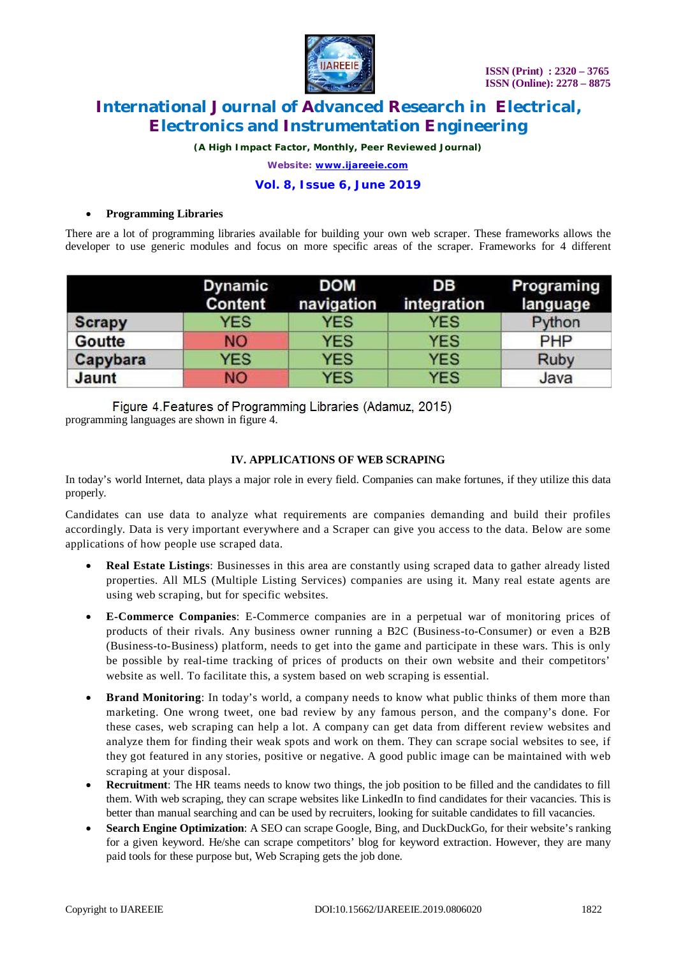

*(A High Impact Factor, Monthly, Peer Reviewed Journal)*

*Website: [www.ijareeie.com](http://www.ijareeie.com)*

# **Vol. 8, Issue 6, June 2019**

#### **Programming Libraries**

There are a lot of programming libraries available for building your own web scraper. These frameworks allows the developer to use generic modules and focus on more specific areas of the scraper. Frameworks for 4 different

|               | <b>Dynamic</b><br><b>Content</b> | <b>DOM</b><br>navigation | DB<br>integration | Programing<br>language |
|---------------|----------------------------------|--------------------------|-------------------|------------------------|
| <b>Scrapy</b> | <b>YES</b>                       | <b>YES</b>               | <b>YES</b>        | Python                 |
| <b>Goutte</b> | <b>NO</b>                        | <b>YES</b>               | <b>YES</b>        | <b>PHP</b>             |
| Capybara      | <b>YES</b>                       | <b>YES</b>               | <b>YES</b>        | <b>Ruby</b>            |
| Jaunt         | <b>NO</b>                        | <b>YES</b>               | <b>YES</b>        | Java                   |

Figure 4. Features of Programming Libraries (Adamuz, 2015) programming languages are shown in figure 4.

### **IV. APPLICATIONS OF WEB SCRAPING**

In today's world Internet, data plays a major role in every field. Companies can make fortunes, if they utilize this data properly.

Candidates can use data to analyze what requirements are companies demanding and build their profiles accordingly. Data is very important everywhere and a Scraper can give you access to the data. Below are some applications of how people use scraped data.

- **Real Estate Listings**: Businesses in this area are constantly using scraped data to gather already listed properties. All MLS (Multiple Listing Services) companies are using it. Many real estate agents are using web scraping, but for specific websites.
- **E-Commerce Companies**: E-Commerce companies are in a perpetual war of monitoring prices of products of their rivals. Any business owner running a B2C (Business-to-Consumer) or even a B2B (Business-to-Business) platform, needs to get into the game and participate in these wars. This is only be possible by real-time tracking of prices of products on their own website and their competitors' website as well. To facilitate this, a system based on web scraping is essential.
- **Brand Monitoring**: In today's world, a company needs to know what public thinks of them more than marketing. One wrong tweet, one bad review by any famous person, and the company's done. For these cases, web scraping can help a lot. A company can get data from different review websites and analyze them for finding their weak spots and work on them. They can scrape social websites to see, if they got featured in any stories, positive or negative. A good public image can be maintained with web scraping at your disposal.
- **Recruitment**: The HR teams needs to know two things, the job position to be filled and the candidates to fill them. With web scraping, they can scrape websites like LinkedIn to find candidates for their vacancies. This is better than manual searching and can be used by recruiters, looking for suitable candidates to fill vacancies.
- **Search Engine Optimization**: A SEO can scrape Google, Bing, and DuckDuckGo, for their website's ranking for a given keyword. He/she can scrape competitors' blog for keyword extraction. However, they are many paid tools for these purpose but, Web Scraping gets the job done.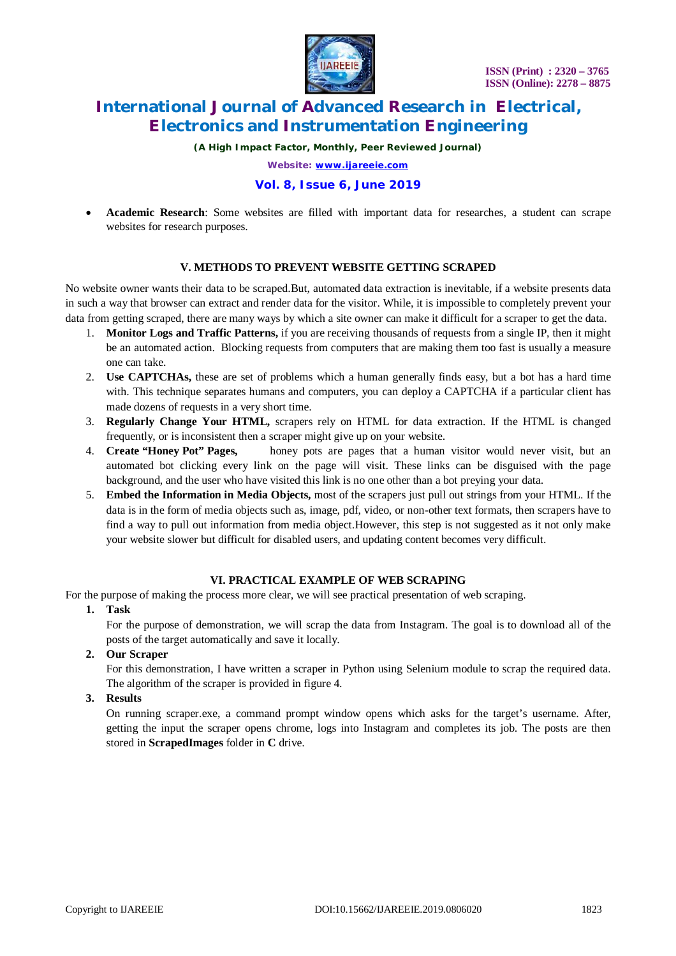

*(A High Impact Factor, Monthly, Peer Reviewed Journal)*

*Website: [www.ijareeie.com](http://www.ijareeie.com)*

### **Vol. 8, Issue 6, June 2019**

 **Academic Research**: Some websites are filled with important data for researches, a student can scrape websites for research purposes.

#### **V. METHODS TO PREVENT WEBSITE GETTING SCRAPED**

No website owner wants their data to be scraped.But, automated data extraction is inevitable, if a website presents data in such a way that browser can extract and render data for the visitor. While, it is impossible to completely prevent your data from getting scraped, there are many ways by which a site owner can make it difficult for a scraper to get the data.

- 1. **Monitor Logs and Traffic Patterns,** if you are receiving thousands of requests from a single IP, then it might be an automated action. Blocking requests from computers that are making them too fast is usually a measure one can take.
- 2. **Use CAPTCHAs,** these are set of problems which a human generally finds easy, but a bot has a hard time with. This technique separates humans and computers, you can deploy a CAPTCHA if a particular client has made dozens of requests in a very short time.
- 3. **Regularly Change Your HTML,** scrapers rely on HTML for data extraction. If the HTML is changed frequently, or is inconsistent then a scraper might give up on your website.
- 4. **Create "Honey Pot" Pages,** honey pots are pages that a human visitor would never visit, but an automated bot clicking every link on the page will visit. These links can be disguised with the page background, and the user who have visited this link is no one other than a bot preying your data.
- 5. **Embed the Information in Media Objects,** most of the scrapers just pull out strings from your HTML. If the data is in the form of media objects such as, image, pdf, video, or non-other text formats, then scrapers have to find a way to pull out information from media object.However, this step is not suggested as it not only make your website slower but difficult for disabled users, and updating content becomes very difficult.

#### **VI. PRACTICAL EXAMPLE OF WEB SCRAPING**

For the purpose of making the process more clear, we will see practical presentation of web scraping.

**1. Task**

For the purpose of demonstration, we will scrap the data from Instagram. The goal is to download all of the posts of the target automatically and save it locally.

**2. Our Scraper**

For this demonstration, I have written a scraper in Python using Selenium module to scrap the required data. The algorithm of the scraper is provided in figure 4.

**3. Results**

On running scraper.exe, a command prompt window opens which asks for the target's username. After, getting the input the scraper opens chrome, logs into Instagram and completes its job. The posts are then stored in **ScrapedImages** folder in **C** drive.